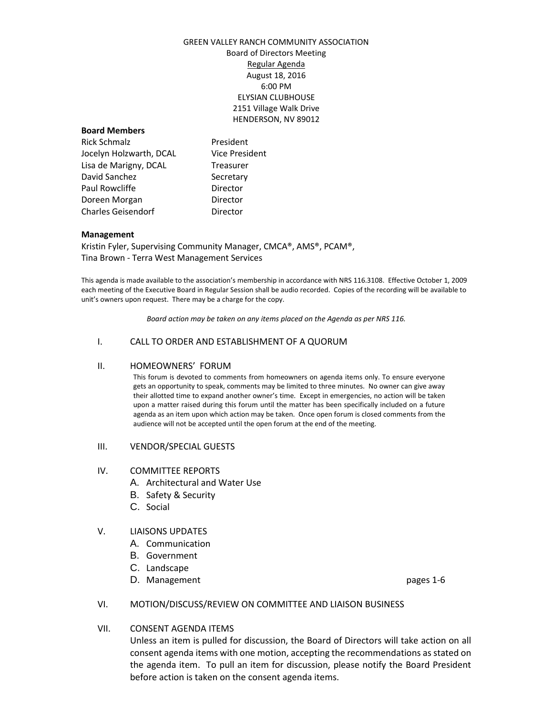# GREEN VALLEY RANCH COMMUNITY ASSOCIATION Board of Directors Meeting Regular Agenda August 18, 2016 6:00 PM ELYSIAN CLUBHOUSE 2151 Village Walk Drive HENDERSON, NV 89012

#### **Board Members**

Rick Schmalz **President** Jocelyn Holzwarth, DCAL Vice President Lisa de Marigny, DCAL Treasurer David Sanchez Secretary Paul Rowcliffe **Director** Doreen Morgan **Director** Charles Geisendorf **Director** 

## **Management**

Kristin Fyler, Supervising Community Manager, CMCA®, AMS®, PCAM®, Tina Brown - Terra West Management Services

This agenda is made available to the association's membership in accordance with NRS 116.3108. Effective October 1, 2009 each meeting of the Executive Board in Regular Session shall be audio recorded. Copies of the recording will be available to unit's owners upon request. There may be a charge for the copy.

*Board action may be taken on any items placed on the Agenda as per NRS 116.*

## I. CALL TO ORDER AND ESTABLISHMENT OF A QUORUM

#### II. HOMEOWNERS' FORUM

This forum is devoted to comments from homeowners on agenda items only. To ensure everyone gets an opportunity to speak, comments may be limited to three minutes. No owner can give away their allotted time to expand another owner's time. Except in emergencies, no action will be taken upon a matter raised during this forum until the matter has been specifically included on a future agenda as an item upon which action may be taken. Once open forum is closed comments from the audience will not be accepted until the open forum at the end of the meeting.

#### III. VENDOR/SPECIAL GUESTS

#### IV. COMMITTEE REPORTS

- A. Architectural and Water Use
- B. Safety & Security
- C. Social

## V. LIAISONS UPDATES

- A. Communication
- B. Government
- C. Landscape
- D. Management **pages** 1-6

## VI. MOTION/DISCUSS/REVIEW ON COMMITTEE AND LIAISON BUSINESS

## VII. CONSENT AGENDA ITEMS

Unless an item is pulled for discussion, the Board of Directors will take action on all consent agenda items with one motion, accepting the recommendations as stated on the agenda item. To pull an item for discussion, please notify the Board President before action is taken on the consent agenda items.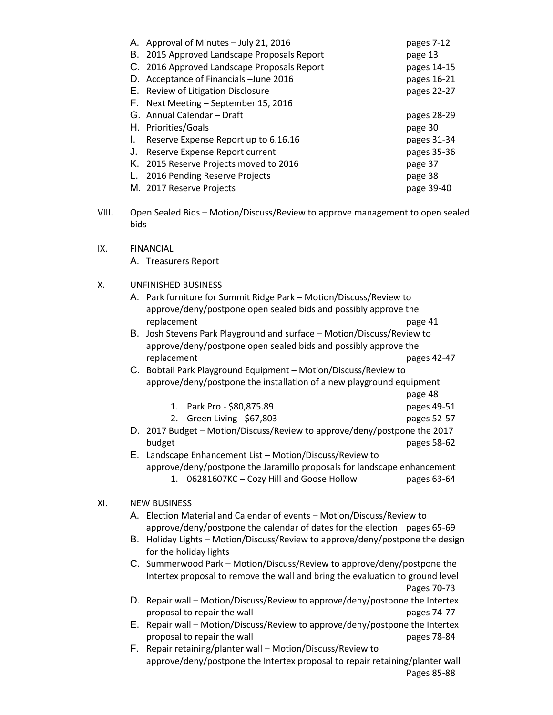| pages 7-12  |
|-------------|
| page 13     |
| pages 14-15 |
| pages 16-21 |
| pages 22-27 |
|             |
| pages 28-29 |
| page 30     |
| pages 31-34 |
| pages 35-36 |
| page 37     |
| page 38     |
| page 39-40  |
|             |

- VIII. Open Sealed Bids Motion/Discuss/Review to approve management to open sealed bids
- IX. FINANCIAL A. Treasurers Report

# X. UNFINISHED BUSINESS

| A. Park furniture for Summit Ridge Park – Motion/Discuss/Review to |         |
|--------------------------------------------------------------------|---------|
| approve/deny/postpone open sealed bids and possibly approve the    |         |
| replacement                                                        | page 41 |

B. Josh Stevens Park Playground and surface – Motion/Discuss/Review to approve/deny/postpone open sealed bids and possibly approve the replacement pages 42-47

C. Bobtail Park Playground Equipment – Motion/Discuss/Review to approve/deny/postpone the installation of a new playground equipment

| 1. Park Pro - \$80,875.89 | pages 49-51 |
|---------------------------|-------------|

page 48

- 2. Green Living \$67,803 pages 52-57
- D. 2017 Budget Motion/Discuss/Review to approve/deny/postpone the 2017 budget pages 58-62

E. Landscape Enhancement List – Motion/Discuss/Review to approve/deny/postpone the Jaramillo proposals for landscape enhancement 1. 06281607KC – Cozy Hill and Goose Hollow pages 63-64

## XI. NEW BUSINESS

- A. Election Material and Calendar of events Motion/Discuss/Review to approve/deny/postpone the calendar of dates for the election pages 65-69
- B. Holiday Lights Motion/Discuss/Review to approve/deny/postpone the design for the holiday lights
- C. Summerwood Park Motion/Discuss/Review to approve/deny/postpone the Intertex proposal to remove the wall and bring the evaluation to ground level Pages 70-73
- D. Repair wall Motion/Discuss/Review to approve/deny/postpone the Intertex proposal to repair the wall proposal b pages 74-77
- E. Repair wall Motion/Discuss/Review to approve/deny/postpone the Intertex proposal to repair the wall proposal b pages 78-84
- F. Repair retaining/planter wall Motion/Discuss/Review to approve/deny/postpone the Intertex proposal to repair retaining/planter wall Pages 85-88